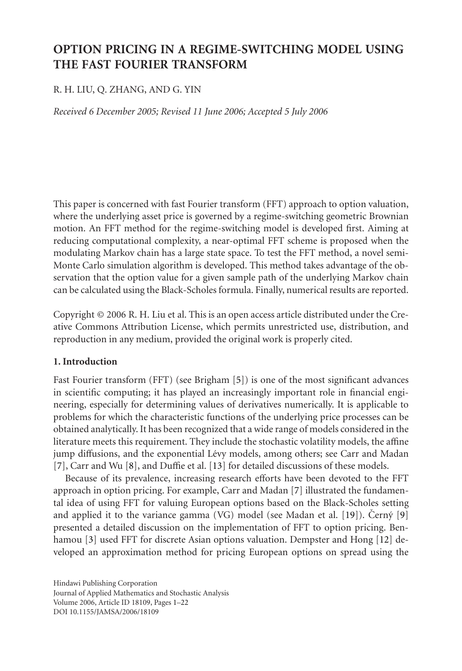# **OPTION PRICING IN A REGIME-SWITCHING MODEL USING THE FAST FOURIER TRANSFORM**

## R. H. LIU, Q. ZHANG, AND G. YIN

*Received 6 December 2005; Revised 11 June 2006; Accepted 5 July 2006*

This paper is concerned with fast Fourier transform (FFT) approach to option valuation, where the underlying asset price is governed by a regime-switching geometric Brownian motion. An FFT method for the regime-switching model is developed first. Aiming at reducing computational complexity, a near-optimal FFT scheme is proposed when the modulating Markov chain has a large state space. To test the FFT method, a novel semi-Monte Carlo simulation algorithm is develo[ped](#page-20-0). This method takes advantage of the observation that the option value for a given sample path of the underlying Markov chain can be calculated using the Black-Scholes formula. Finally, numerical results are reported.

Copyright © 2006 R. H. Liu et al. This is an open access article distributed under the Creative Commons Attribution License, which permits unrestricted use, distribution, and reproduction in any medium, provided the original work is properly cited.

## **[1.](#page-20-1) Introduction**

Fast Fourier transform (FFT) (see Brigham [5]) is one of t[he](#page-20-1) most significant advances in scientific computing; it has played an increasingly important role in financial engineering, especially for determining values of derivatives numerically. It [is](#page-20-2) applicable [to](#page-20-3) problems for which the characteristic functions of the underlying price processes can be obtaine[d a](#page-20-4)nalytically. It has been recognized that a wide range of models consider[ed in](#page-20-5) the literature meets this requirement. They include the stochastic volatility models, the affine jump diffusions, and the exponential Lévy models, among others; see Carr and Madan [7], Carr and Wu [8], and Duffie et al. [13] for detailed discussions of these models.

Because of its prevalence, increasing research efforts have been devoted to the FFT approach in option pricing. Fo[r ex](#page-20-6)ample, Carr and Madan [7] illustrated the fundamental idea of using FFT for valuing European options based on the Black-Scholes setting and applied it to the variance gamma (VG) model (see Madan et al. [19]). Černý [9] presented a detailed discussion on the implementation of FFT to option pricing. Benhamou [3] used FFT for discrete Asian options valuation. Dempster and Hong [12] developed an approximation method for pricing European options on spread using the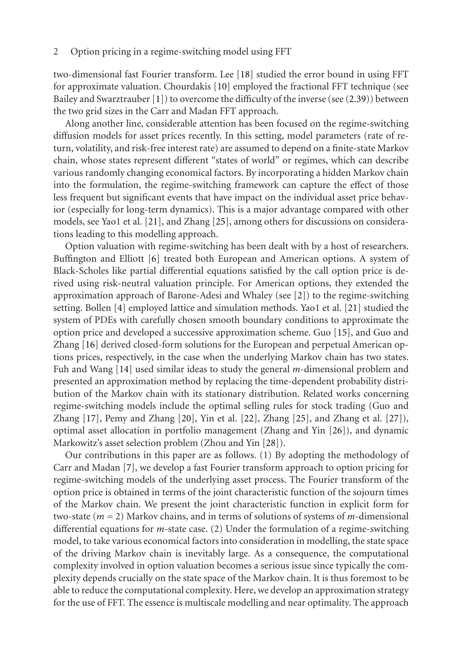two-dimensional fast Fourier transform. Lee [18] studied the error bound in using FFT for approximate valuation. Chourdakis [10] employed the fractional FFT technique (see Bailey and Swarztrauber [1]) to overcome the difficulty of the inverse (see (2.39)) between the two grid sizes in th[e Ca](#page-21-0)rr and Mada[n FF](#page-21-1)T approach.

Along another line, considerable attention has been focused on the regime-switching diffusion models for asset prices recently. In this setting, model parameters (rate of return, volatility, and risk-[fr](#page-20-7)ee interest rate) are assumed to depend on a finite-state Markov chain, whose states represent different "states of world" or regimes, which can describe various randomly changing economical factors. By incorporating a hidden Markov chain into the formulation, the regime-switching framework ca[n c](#page-20-8)apture the effect of those less frequent b[ut](#page-20-9) significant events that have impact on the individual as[set](#page-21-0) price behavior (especially for long-term dynamics). This is a major advantage compared with other models, see Yao1 et al. [21], and Zhang [25], among others for discuss[ion](#page-20-10)s on considerations le[adi](#page-20-11)ng to this modelling approach.

Option valuation with regime-switching has been dealt with by a host of researchers. Buffington and [Ell](#page-20-12)iott [6] treated both European and American options. A system of Black-Scholes like partial differential equations satisfied by the call option price is derived using risk-neutral valuation principle. For American options, they extended the approximation approach of Barone-Adesi and Whaley (see [2]) to the regime-switching setting. [Bo](#page-20-13)llen [4] employed lat[tice](#page-21-2) and simula[tion](#page-21-3) method[s. Ya](#page-21-1)o1 et al. [21] studi[ed t](#page-21-4)he system of PDEs with carefully chosen smooth boundary conditions [to a](#page-21-5)pproximate the option price and developed a successive approximat[ion](#page-21-6) scheme. Guo [15], and Guo and Zhang [16] derived closed-form solutions for the European and perpetual American options prices, resp[ect](#page-20-1)ively, in the case when the underlying Markov chain has two states. Fuh and Wang [14] used similar ideas to study the general *m*-dimensional problem and presented an approximation method by replacing the time-dependent probability distribution of the Markov chain with its stationary distribution. Related works concerning regime-switching models include the optimal selling rules for stock trading (Guo and Zhang [17], Pemy and Zhang [20], Yin et al. [22], Zhang [25], and Zhang et al. [27]), optimal asset allocation in portfolio management (Zhang and Yin [26]), and dynamic Markowitz's asset selection problem (Zhou and Yin [28]).

Our contributions in this paper are as follows. (1) By adopting the methodology of Carr and Madan [7], we develop a fast Fourier transform approach to option pricing for regime-switching models of the underlying asset process. The Fourier transform of the option price is obtained in terms of the joint characteristic function of the sojourn times of the Markov chain. We present the joint characteristic function in explicit form for two-state (*m* = 2) Markov chains, and in terms of solutions of systems of *m*-dimensional differential equations for *m*-state case. (2) Under the formulation of a regime-switching model, to take various economical factors into consideration in modelling, the state space of the driving Markov chain is inevitably large. As a consequence, the computational complexity involved in option valuation becomes a serious issue since typically the complexity depends crucially on the state space of the Markov chain. It is thus foremost to be able to reduce the computational complexity. Here, we develop an approximation strategy for the use of FFT. The essence is multiscale modelling and near optimality. The approach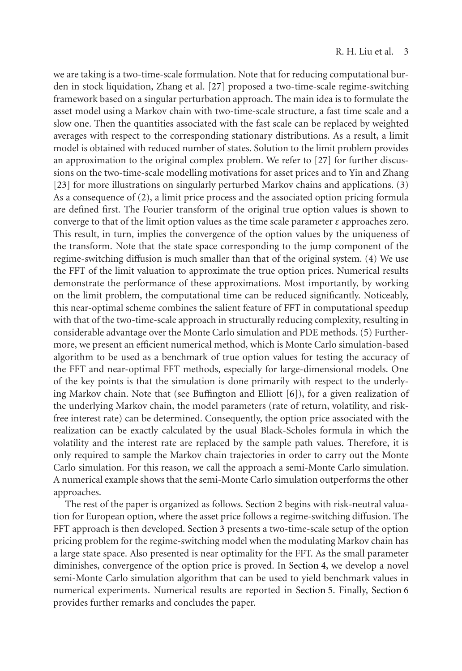[we a](#page-21-7)re taking is a two-time-scale formulation. Note that for reducing computational burden in stock liquidation, Zhang et al. [27] proposed a two-time-scale regime-switching framework based on a singular perturbation approach. The main idea is to formulate the asset model using a Markov chain with two-time-scale structure, a fast time scale and a slow one. Then the quantities associated with the fast scale can be replaced by weighted averages with respect to the corresponding stationary distributions. As a result, a limit model is obtained with reduced number of states. Solution to the limit problem provides an approximation to the original complex problem. We refer to [27] for further discussions on the two-time-scale modelling motivations for asset prices and to Yin and Zhang [23] for more illustrations on singularly perturbed Markov chains and applications. (3) As a consequence of (2), a limit price process and the associated option pricing formula are defined first. The Fourier transform of the original true option values is shown to converge to that of the limit option values as the time scale parameter *ε* approaches zero. This result, in turn, implies the convergence of the option values by the uniqueness of the transform. Note that the state space corresponding to the jump component of the regime-switching diffusion is much smaller than that of the original system. (4) We use the FFT of the limit valuation to approximate the true option prices. Numerical results demonstrate the performance of these approximations. [Mo](#page-20-7)st importantly, by working on the limit problem, the computational time can be reduced significantly. Noticeably, this near-optimal scheme combines the salient feature of FFT in computational speedup with that of the two-time-scale approach in structurally reducing complexity, resulting in considerable advantage over the Monte Carlo simulation and PDE methods. (5) Furthermore, we present an efficient numerical method, which is Monte Carlo simulation-based algorithm to be used as a benchmark of true option values for testing the accuracy of the FFT and near-optimal FFT methods, especially for large-dimensional models. One of the key points is that the simulation is done primarily with respect to the underlying Markov chain. Note that (see Buffington a[nd Elliott](#page-3-0)  $[6]$ ), for a given realization of the underlying Markov chain, the model parameters (rate of return, volatility, and riskfree interest rate) can be determi[ned. Conse](#page-10-0)quently, the option price associated with the realization can be exactly calculated by the usual Black-Scholes formula in which the volatility and the interest rate are replaced by the sample path values. Therefore, it is only required to sample the Markov chain trajectories in [order to c](#page-15-0)arry out the Monte Carlo simulation. For this reason, we call the approach a semi-Monte Carlo simulation. A numerical example shows that the semi-Monte Carlo simu[lation outp](#page-17-0)erforms [the other](#page-19-0) approaches.

The rest of the paper is organized as follows. Section 2 begins with risk-neutral valuation for European option, where the asset price follows a regime-switching diffusion. The FFT approach is then developed. Section 3 presents a two-time-scale setup of the option pricing problem for the regime-switching model when the modulating Markov chain has a large state space. Also presented is near optimality for the FFT. As the small parameter diminishes, convergence of the option price is proved. In Section 4, we develop a novel semi-Monte Carlo simulation algorithm that can be used to yield benchmark values in numerical experiments. Numerical results are reported in Section 5. Finally, Section 6 provides further remarks and concludes the paper.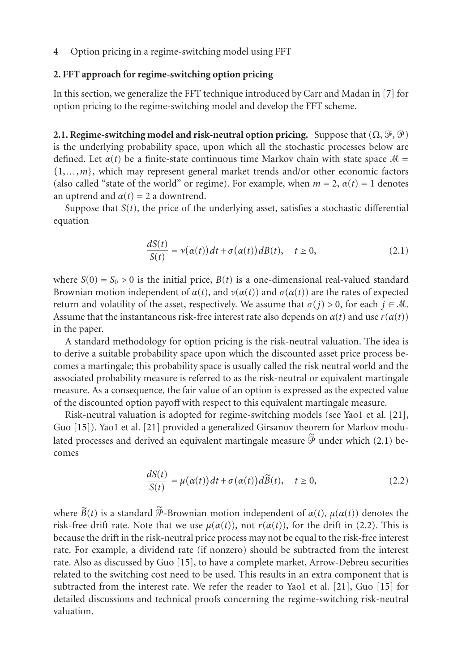#### <span id="page-3-0"></span>**2. FFT approach for regime-switching option pricing**

In this section, we generalize the FFT technique introduced by Carr and Madan in [7] for option pricing to the regime-switching model and develop the FFT scheme.

**2.1. Regime-switching model and risk-neutral option pricing.** Suppose that  $(\Omega, \mathcal{F}, \mathcal{P})$ is the underlying probability space, upon which all the stochastic processes below are defined. Let  $\alpha(t)$  be a finite-state continuous time Markov chain with state space  $\mathcal{M} =$  $\{1,\ldots,m\}$ , which may represent general market trends and/or other economic factors (also called "state of the world" or regime). For example, when  $m = 2$ ,  $\alpha(t) = 1$  denotes an uptrend and  $\alpha(t) = 2$  a downtrend.

Suppose that *S*(*t*), the price of the underlying asset, satisfies a stochastic differential equation

<span id="page-3-1"></span>
$$
\frac{dS(t)}{S(t)} = \nu(\alpha(t))dt + \sigma(\alpha(t))dB(t), \quad t \ge 0,
$$
\n(2.1)

where  $S(0) = S_0 > 0$  is the initial price,  $B(t)$  is a one-dimensional real-valued standard Brownian motion independent of  $\alpha(t)$ , and  $\nu(\alpha(t))$  and  $\sigma(\alpha(t))$  are the rates of expected return and volatility of the asset, respectively. We assume that  $\sigma(j) > 0$ , for each  $j \in M$ . Assu[me](#page-20-10) that the ins[tan](#page-21-0)taneous risk-free interest rate also depends on  $\alpha(t)$  and use  $r(\alpha(t))$ in the paper.

A standard methodology for option pricing is the risk-neutral valuation. The idea is to derive a suitable probability space upon which the discounted asset price process becomes a martingale; this probability space is usually called the risk neutral world and the associated probability measure is referred to as the risk-neutral or equivalent martingale measure. As a consequence, the fair value of an option is expressed as the expected value of the discounted option payoff with respect to this equivalent martingale measure.

Risk-neutral valuation is adopted for regime-switching models (see Yao[1 et](#page-3-1) al. [21], Guo [15]). Yao1 et al. [21] provided a generalized Girsanov theorem for Markov modulated processes and derived an [equ](#page-20-10)ivalent martingale measure  $\widetilde{\mathcal{P}}$  under which (2.1) becomes

$$
\frac{dS(t)}{S(t)} = \mu(\alpha(t))dt + \sigma(\alpha(t))d\widetilde{B}(t), \quad t \ge 0,
$$
\n(2.2)

where  $\widetilde{B}(t)$  is a standard  $\widetilde{\mathcal{P}}$ -Brownian motion independent of  $\alpha(t)$ ,  $\mu(\alpha(t))$  denotes the risk-free drift rate. Note that we use  $\mu(\alpha(t))$ , not  $r(\alpha(t))$ , for the drift in (2.2). This is because the drift in the risk-neutral price process may not be equal to the risk-free interest rate. For example, a dividend rate (if nonzero) should be subtracted from the interest rate. Also as discussed by Guo [15], to have a complete market, Arrow-Debreu securities related to the switching cost need to be used. This results in an extra component that is subtracted from the interest rate. We refer the reader to Yao1 et al. [21], Guo [15] for detailed discussions and technical proofs concerning the regime-switching risk-neutral valuation.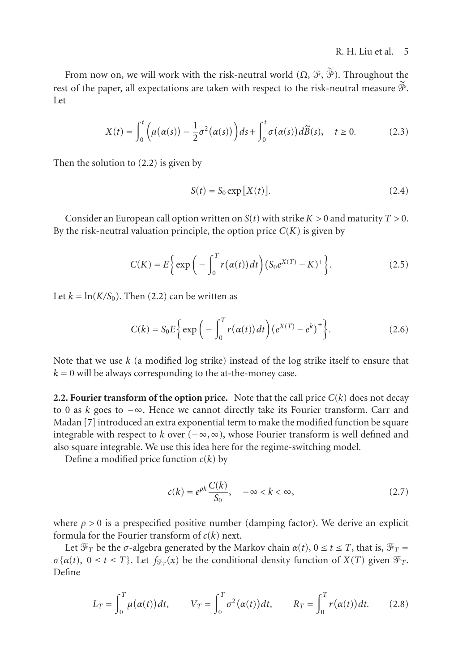From now on, we will work with the risk-neutral world  $(\Omega, \mathcal{F}, \widetilde{\mathcal{P}}).$  Throughout the rest of the paper, all expectations are taken with respect to the risk-neutral measure  $\widetilde{\mathcal{P}}$ . Let

$$
X(t) = \int_0^t \left( \mu(\alpha(s)) - \frac{1}{2}\sigma^2(\alpha(s)) \right) ds + \int_0^t \sigma(\alpha(s)) d\widetilde{B}(s), \quad t \ge 0.
$$
 (2.3)

Then the solution to (2.2) is given by

$$
S(t) = S_0 \exp[X(t)].
$$
\n(2.4)

Consider an European call option written on  $S(t)$  with strike  $K > 0$  and maturity  $T > 0$ . By the risk-neutral valuation principle, the option price  $C(K)$  is given by

$$
C(K) = E\bigg\{\exp\bigg(-\int_0^T r\big(\alpha(t)\big)dt\bigg)\big(S_0e^{X(T)} - K)^+\bigg\}.\tag{2.5}
$$

Let  $k = \ln(K/S_0)$ . Then (2.2) can be written as

<span id="page-4-0"></span>
$$
C(k) = S_0 E \bigg\{ \exp \bigg( - \int_0^T r(\alpha(t)) dt \bigg) \big( e^{X(T)} - e^k \big)^+ \bigg\}.
$$
 (2.6)

Note that we use *k* (a modified log strike) instead of the log strike itself to ensure that  $k = 0$  will be always corresponding to the at-the-money case.

**2.2. Fourier transform of the option price.** Note that the call price  $C(k)$  does not decay to 0 as *k* goes to −∞. Hence we cannot directly take its Fourier transform. Carr and Madan [7] introduced an extra exponential term to make the modified function be square integrable with respect to *k* over (−∞,∞), whose Fourier transform is well defined and also square integrable. We use this idea here for the regime-switching model.

Define a modified price function  $c(k)$  by

$$
c(k) = e^{\rho k} \frac{C(k)}{S_0}, \quad -\infty < k < \infty,\tag{2.7}
$$

where  $\rho > 0$  is a prespecified positive number (damping factor). We derive an explicit formula for the Fourier transform of *c*(*k*) next.

Let  $\mathcal{F}_T$  be the *σ*-algebra generated by the Markov chain  $\alpha(t)$ ,  $0 \le t \le T$ , that is,  $\mathcal{F}_T =$  $\sigma\{\alpha(t), 0 \le t \le T\}$ . Let  $f_{\mathscr{F}_T}(x)$  be the conditional density function of  $X(T)$  given  $\mathscr{F}_T$ . Define

$$
L_T = \int_0^T \mu(\alpha(t))dt, \qquad V_T = \int_0^T \sigma^2(\alpha(t))dt, \qquad R_T = \int_0^T r(\alpha(t))dt. \qquad (2.8)
$$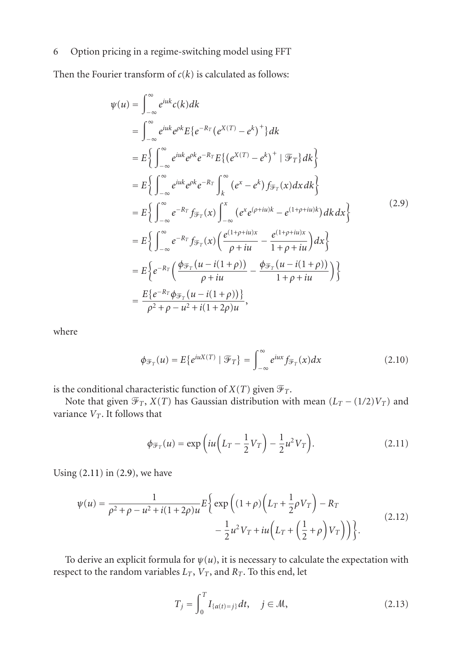Then the Fourier transform of  $c(k)$  is calculated as follows:

$$
\psi(u) = \int_{-\infty}^{\infty} e^{iuk} c(k) dk
$$
  
\n
$$
= \int_{-\infty}^{\infty} e^{iuk} e^{\rho k} E \{e^{-R_T} (e^{X(T)} - e^k)^+ \} dk
$$
  
\n
$$
= E \{ \int_{-\infty}^{\infty} e^{iuk} e^{\rho k} e^{-R_T} E \{ (e^{X(T)} - e^k)^+ | \mathcal{F}_T \} dk \}
$$
  
\n
$$
= E \{ \int_{-\infty}^{\infty} e^{iuk} e^{\rho k} e^{-R_T} \int_{k}^{\infty} (e^x - e^k) f \mathcal{F}_T(x) dx dk \}
$$
  
\n
$$
= E \{ \int_{-\infty}^{\infty} e^{-R_T} f \mathcal{F}_T(x) \int_{-\infty}^x (e^x e^{(\rho + iu)k} - e^{(1 + \rho + iu)k}) dk dx \}
$$
  
\n
$$
= E \{ \int_{-\infty}^{\infty} e^{-R_T} f \mathcal{F}_T(x) \left( \frac{e^{(1 + \rho + iu)x}}{\rho + iu} - \frac{e^{(1 + \rho + iu)x}}{1 + \rho + iu} \right) dx \}
$$
  
\n
$$
= E \{ e^{-R_T} \left( \frac{\phi \mathcal{F}_T(u - i(1 + \rho))}{\rho + iu} - \frac{\phi \mathcal{F}_T(u - i(1 + \rho))}{1 + \rho + iu} \right) \}
$$
  
\n
$$
= \frac{E \{ e^{-R_T} \phi \mathcal{F}_T(u - i(1 + \rho)) \}}{\rho^2 + \rho - u^2 + i(1 + 2\rho)u},
$$

where

$$
\phi_{\mathcal{F}_T}(u) = E\{e^{iuX(T)} \mid \mathcal{F}_T\} = \int_{-\infty}^{\infty} e^{iux} f_{\mathcal{F}_T}(x) dx \qquad (2.10)
$$

is the conditional characteristic function of  $X(T)$  given  $\mathcal{F}_T$ .

Note that given  $\mathcal{F}_T$ , *X*(*T*) has Gaussian distribution with mean (*L<sub>T</sub>* – (1/2)*V<sub>T</sub>*) and variance  $V_T$ . It follows that

$$
\phi_{\mathcal{F}_T}(u) = \exp\left(iu\left(L_T - \frac{1}{2}V_T\right) - \frac{1}{2}u^2V_T\right).
$$
\n(2.11)

Using  $(2.11)$  in  $(2.9)$ , we have

$$
\psi(u) = \frac{1}{\rho^2 + \rho - u^2 + i(1 + 2\rho)u} E\Big\{ \exp\Big( (1 + \rho) \Big( L_T + \frac{1}{2}\rho V_T \Big) - R_T - \frac{1}{2}u^2 V_T + iu \Big( L_T + \Big( \frac{1}{2} + \rho \Big) V_T \Big) \Big) \Big\}.
$$
\n(2.12)

To derive an explicit formula for  $\psi(u)$ , it is necessary to calculate the expectation with respect to the random variables  $L_T$ ,  $V_T$ , and  $R_T$ . To this end, let

$$
T_j = \int_0^T I_{\{\alpha(t) = j\}} dt, \quad j \in \mathcal{M}, \tag{2.13}
$$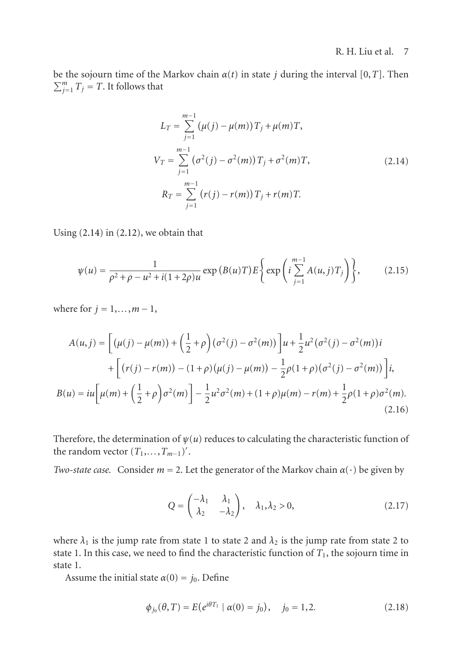be the sojourn time of the Markov chain  $\alpha(t)$  in state *j* during the interval [0,*T*]. Then  $\sum_{j=1}^{m} T_j = T$ . It follows that

<span id="page-6-0"></span>
$$
L_T = \sum_{j=1}^{m-1} (\mu(j) - \mu(m)) T_j + \mu(m) T,
$$
  
\n
$$
V_T = \sum_{j=1}^{m-1} (\sigma^2(j) - \sigma^2(m)) T_j + \sigma^2(m) T,
$$
  
\n
$$
R_T = \sum_{j=1}^{m-1} (r(j) - r(m)) T_j + r(m) T.
$$
\n(2.14)

Using  $(2.14)$  in  $(2.12)$ , we obtain that

$$
\psi(u) = \frac{1}{\rho^2 + \rho - u^2 + i(1 + 2\rho)u} \exp(B(u)T) E\left\{\exp\left(i\sum_{j=1}^{m-1} A(u, j)T_j\right)\right\},\tag{2.15}
$$

where for  $j = 1, \ldots, m - 1$ ,

$$
A(u,j) = \left[ (\mu(j) - \mu(m)) + \left(\frac{1}{2} + \rho\right) (\sigma^2(j) - \sigma^2(m)) \right] u + \frac{1}{2} u^2 (\sigma^2(j) - \sigma^2(m)) i + \left[ (r(j) - r(m)) - (1 + \rho)(\mu(j) - \mu(m)) - \frac{1}{2} \rho (1 + \rho) (\sigma^2(j) - \sigma^2(m)) \right] i, B(u) = iu \left[ \mu(m) + \left(\frac{1}{2} + \rho\right) \sigma^2(m) \right] - \frac{1}{2} u^2 \sigma^2(m) + (1 + \rho) \mu(m) - r(m) + \frac{1}{2} \rho (1 + \rho) \sigma^2(m).
$$
\n(2.16)

Therefore, the determination of  $\psi(u)$  reduces to calculating the characteristic function of the random vector  $(T_1, \ldots, T_{m-1})'$ .

*Two-state case.* Consider  $m = 2$ . Let the generator of the Markov chain  $\alpha(\cdot)$  be given by

$$
Q = \begin{pmatrix} -\lambda_1 & \lambda_1 \\ \lambda_2 & -\lambda_2 \end{pmatrix}, \quad \lambda_1, \lambda_2 > 0,
$$
 (2.17)

where  $\lambda_1$  is the jump rate from state 1 to state 2 and  $\lambda_2$  is the jump rate from state 2 to state 1. In this case, we need to find the characteristic function of *T*1, the sojourn time in state 1.

Assume the initial state  $\alpha(0) = j_0$ . Define

$$
\phi_{j_0}(\theta, T) = E(e^{i\theta T_1} \mid \alpha(0) = j_0), \quad j_0 = 1, 2. \tag{2.18}
$$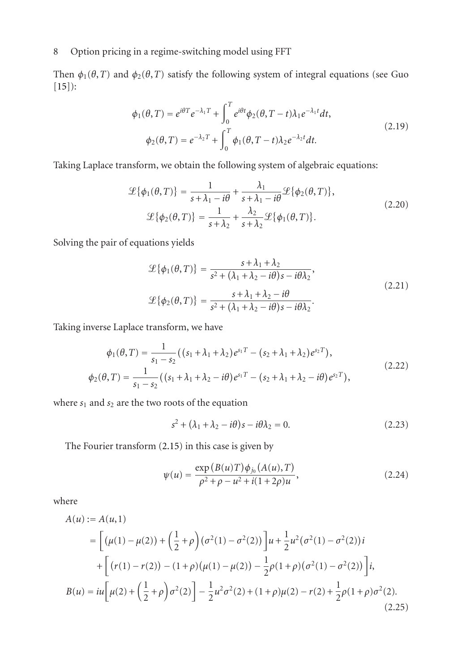Then  $\phi_1(\theta, T)$  and  $\phi_2(\theta, T)$  satisfy the following system of integral equations (see Guo  $[15]$ :

$$
\phi_1(\theta, T) = e^{i\theta T} e^{-\lambda_1 T} + \int_0^T e^{i\theta t} \phi_2(\theta, T - t) \lambda_1 e^{-\lambda_1 t} dt,
$$
  
\n
$$
\phi_2(\theta, T) = e^{-\lambda_2 T} + \int_0^T \phi_1(\theta, T - t) \lambda_2 e^{-\lambda_2 t} dt.
$$
\n(2.19)

Taking Laplace transform, we obtain the following system of algebraic equations:

$$
\mathcal{L}\{\phi_1(\theta, T)\} = \frac{1}{s + \lambda_1 - i\theta} + \frac{\lambda_1}{s + \lambda_1 - i\theta} \mathcal{L}\{\phi_2(\theta, T)\},
$$
  

$$
\mathcal{L}\{\phi_2(\theta, T)\} = \frac{1}{s + \lambda_2} + \frac{\lambda_2}{s + \lambda_2} \mathcal{L}\{\phi_1(\theta, T)\}.
$$
 (2.20)

Solving the pair of equations yields

$$
\mathcal{L}\{\phi_1(\theta, T)\} = \frac{s + \lambda_1 + \lambda_2}{s^2 + (\lambda_1 + \lambda_2 - i\theta)s - i\theta\lambda_2},
$$
  

$$
\mathcal{L}\{\phi_2(\theta, T)\} = \frac{s + \lambda_1 + \lambda_2 - i\theta}{s^2 + (\lambda_1 + \lambda_2 - i\theta)s - i\theta\lambda_2}.
$$
(2.21)

Taking inverse Laplace tra[nsform](#page-6-0), we have

$$
\phi_1(\theta, T) = \frac{1}{s_1 - s_2} ((s_1 + \lambda_1 + \lambda_2) e^{s_1 T} - (s_2 + \lambda_1 + \lambda_2) e^{s_2 T}),
$$
  
\n
$$
\phi_2(\theta, T) = \frac{1}{s_1 - s_2} ((s_1 + \lambda_1 + \lambda_2 - i\theta) e^{s_1 T} - (s_2 + \lambda_1 + \lambda_2 - i\theta) e^{s_2 T}),
$$
\n(2.22)

where *s*<sup>1</sup> and *s*<sup>2</sup> are the two roots of the equation

$$
s^2 + (\lambda_1 + \lambda_2 - i\theta)s - i\theta\lambda_2 = 0.
$$
 (2.23)

The Fourier transform (2.15) in this case is given by

$$
\psi(u) = \frac{\exp(B(u)T)\phi_{j_0}(A(u), T)}{\rho^2 + \rho - u^2 + i(1 + 2\rho)u},
$$
\n(2.24)

where

$$
A(u) := A(u, 1)
$$
  
= 
$$
\left[ (\mu(1) - \mu(2)) + \left(\frac{1}{2} + \rho\right) (\sigma^2(1) - \sigma^2(2)) \right] u + \frac{1}{2} u^2 (\sigma^2(1) - \sigma^2(2)) i
$$
  
+ 
$$
\left[ (r(1) - r(2)) - (1 + \rho) (\mu(1) - \mu(2)) - \frac{1}{2} \rho (1 + \rho) (\sigma^2(1) - \sigma^2(2)) \right] i,
$$
  

$$
B(u) = iu \left[ \mu(2) + \left(\frac{1}{2} + \rho\right) \sigma^2(2) \right] - \frac{1}{2} u^2 \sigma^2(2) + (1 + \rho) \mu(2) - r(2) + \frac{1}{2} \rho (1 + \rho) \sigma^2(2).
$$
  
(2.25)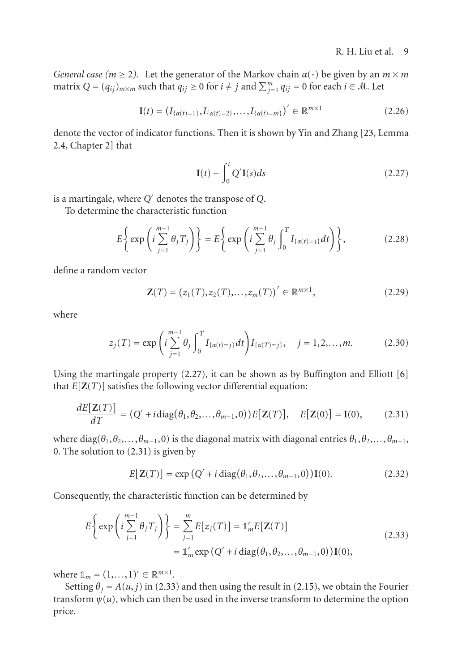*General case (* $m \ge 2$ *).* Let the generator of the Markov chain  $\alpha(\cdot)$  be given by an  $m \times m$ matrix  $Q = (q_{ij})_{m \times m}$  such that  $q_{ij} \ge 0$  for  $i \ne j$  and  $\sum_{j=1}^{m} q_{ij} = 0$  for each  $i \in \mathcal{M}$ . Let

$$
\mathbf{I}(t) = (I_{\{\alpha(t) = 1\}}, I_{\{\alpha(t) = 2\}}, \dots, I_{\{\alpha(t) = m\}})' \in \mathbb{R}^{m \times 1}
$$
 (2.26)

denote the vector of indicator functions. Then it is shown by Yin and Zhang [23, Lemma 2.4, Chapter 2] that

$$
\mathbf{I}(t) - \int_0^t Q' \mathbf{I}(s) ds
$$
 (2.27)

is a martingale, where *Q* denotes the transpose of *Q*.

To determine the characteristic function

$$
E\bigg\{\exp\bigg(i\sum_{j=1}^{m-1}\theta_jT_j\bigg)\bigg\} = E\bigg\{\exp\bigg(i\sum_{j=1}^{m-1}\theta_j\int_0^T I_{\{\alpha(t)=j\}}dt\bigg)\bigg\},\tag{2.28}
$$

define a random vector

<span id="page-8-0"></span>
$$
\mathbf{Z}(T) = (z_1(T), z_2(T), \dots, z_m(T))' \in \mathbb{R}^{m \times 1},
$$
\n(2.29)

where

$$
z_j(T) = \exp\left(i\sum_{j=1}^{m-1} \theta_j \int_0^T I_{\{\alpha(t)=j\}} dt\right) I_{\{\alpha(T)=j\}}, \quad j = 1, 2, ..., m. \tag{2.30}
$$

Using the martingale property (2.27), it can be shown as by Buffington and Elliott [6] that  $E[Z(T)]$  satisfies the following vector differential equation:

$$
\frac{dE[\mathbf{Z}(T)]}{dT} = (Q' + i \operatorname{diag}(\theta_1, \theta_2, \dots, \theta_{m-1}, 0)) E[\mathbf{Z}(T)], \quad E[\mathbf{Z}(0)] = \mathbf{I}(0), \tag{2.31}
$$

where diag( $\theta_1, \theta_2, \ldots, \theta_{m-1}, 0$ ) is the diagonal matrix with diagonal entries  $\theta_1, \theta_2, \ldots, \theta_{m-1}$ , 0. The solution to (2.31) is given by

<span id="page-8-1"></span>
$$
E[\mathbf{Z}(T)] = \exp\left(Q' + i\operatorname{diag}(\theta_1, \theta_2, \dots, \theta_{m-1}, 0)\right) \mathbf{I}(0). \tag{2.32}
$$

Consequently, the characteristic function can be determined by

$$
E\left\{\exp\left(i\sum_{j=1}^{m-1}\theta_j T_j\right)\right\} = \sum_{j=1}^{m} E[z_j(T)] = \mathbb{1}'_m E[Z(T)]
$$
  
=  $\mathbb{1}'_m \exp\left(Q' + i \operatorname{diag}(\theta_1, \theta_2, ..., \theta_{m-1}, 0)\right) I(0),$  (2.33)

where  $\mathbb{1}_m = (1, \ldots, 1)' \in \mathbb{R}^{m \times 1}$ .

Setting  $\theta_j = A(u, j)$  in (2.33) and then using the result in (2.15), we obtain the Fourier transform  $\psi(u)$ , which can then be used in the inverse transform to determine the option price.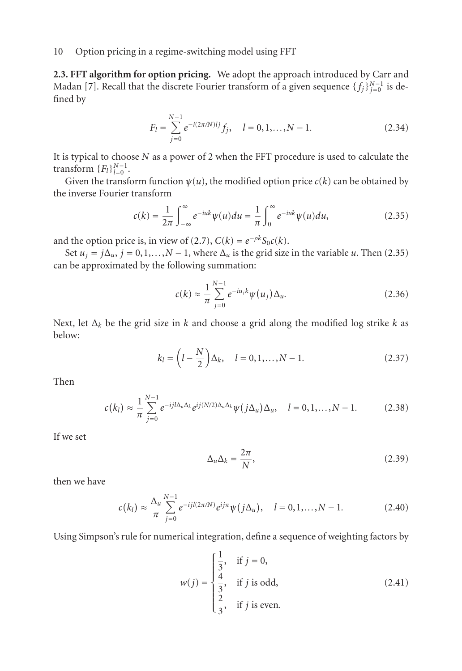**2.3. FFT algorithm for option pricing.** We adopt the approach introduced by Carr and Madan [7]. Recall that the discrete Fourier transform of a given sequence  $\{f_j\}_{j=0}^{N-1}$  is defined by

<span id="page-9-0"></span>
$$
F_l = \sum_{j=0}^{N-1} e^{-i(2\pi/N)lj} f_j, \quad l = 0, 1, ..., N-1.
$$
 (2.34)

It is typical to choose *N* as a power of 2 when the FFT procedure is used to calculate the transform  ${F_l}_{l=0}^{N-1}$ .

Given the transform function  $\psi(u)$ , the modified option price  $c(k)$  can be obtained by the inverse Fourier transform

$$
c(k) = \frac{1}{2\pi} \int_{-\infty}^{\infty} e^{-iuk} \psi(u) du = \frac{1}{\pi} \int_{0}^{\infty} e^{-iuk} \psi(u) du,
$$
 (2.35)

and the option price is, in view of (2.7),  $C(k) = e^{-\rho k} S_0 c(k)$ .

Set  $u_j = j\Delta u$ ,  $j = 0, 1, \ldots, N - 1$ , where  $\Delta u$  is the grid size in the variable *u*. Then (2.35) can be approximated by the following summation:

$$
c(k) \approx \frac{1}{\pi} \sum_{j=0}^{N-1} e^{-iu_j k} \psi(u_j) \Delta_u.
$$
 (2.36)

Next, let Δ*<sup>k</sup>* be the grid size in *k* and choose a grid along the modified log strike *k* as below:

$$
k_l = \left(l - \frac{N}{2}\right)\Delta_k, \quad l = 0, 1, ..., N - 1.
$$
 (2.37)

Then

$$
c(k_l) \approx \frac{1}{\pi} \sum_{j=0}^{N-1} e^{-ijl\Delta_u \Delta_k} e^{ij(N/2)\Delta_u \Delta_k} \psi(j\Delta_u) \Delta_u, \quad l = 0, 1, \dots, N-1.
$$
 (2.38)

If we set

$$
\Delta_u \Delta_k = \frac{2\pi}{N},\tag{2.39}
$$

then we have

$$
c(k_l) \approx \frac{\Delta_u}{\pi} \sum_{j=0}^{N-1} e^{-ijl(2\pi/N)} e^{ij\pi} \psi(j\Delta_u), \quad l = 0, 1, ..., N-1.
$$
 (2.40)

Using Simpson's rule for numerical integration, define a sequence of weighting factors by

$$
w(j) = \begin{cases} \frac{1}{3}, & \text{if } j = 0, \\ \frac{4}{3}, & \text{if } j \text{ is odd,} \\ \frac{2}{3}, & \text{if } j \text{ is even.} \end{cases}
$$
 (2.41)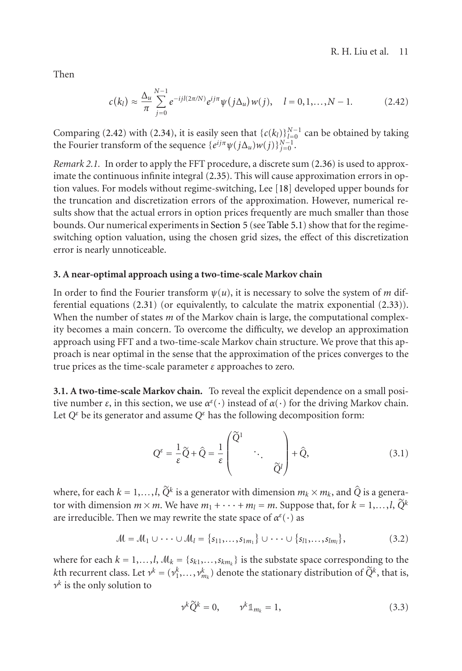$$
c(k_l) \approx \frac{\Delta_u}{\pi} \sum_{j=0}^{N-1} e^{-ijl(2\pi/N)} e^{ij\pi} \psi(j\Delta_u) w(j), \quad l = 0, 1, ..., N-1.
$$
 (2.42)

Comparing (2.42) with (2.34), it is easily seen that  $\{c(k_l)\}_{l=0}^{N-1}$  can be obtained by taking the Fourier transform of the sequence  $\{e^{ij\pi}\psi(j\Delta_u)w(j)\}_{j=0}^{N-1}$ .

<span id="page-10-0"></span>*Remark 2.1.* In order to apply the FFT procedure, a discrete sum (2.36) is used to approximate the continuous infinite integral (2.35). This will cause approximation errors in option values. For models without regime-switching, Lee [18] developed upper bounds for the truncation and [discre](#page-8-0)tization errors of the approximation. However, numer[ical](#page-8-1) [r](#page-8-1)esults show that the actual errors in option prices frequently are much smaller than those bounds. Our numerical experiments in Section 5 (see Table 5.1) show that for the regimeswitching option valuation, using the chosen grid sizes, the effect of this discretization error is nearly unnoticeable.

#### **3. A near-optimal approach using a two-time-scale Markov chain**

In order to find the Fourier transform  $\psi(u)$ , it is necessary to solve the system of *m* differential equations (2.31) (or equivalently, to calculate the matrix exponential (2.33)). When the number of states *m* of the Markov chain is large, the computational complexity becomes a main concern. To overcome the difficulty, we develop an approximation approach using FFT and a two-time-scale Markov chain structure. We prove that this approach is near optimal in the sense that the approximation of the prices converges to the true prices as the time-scale parameter *ε* approaches to zero.

**3.1. A two-time-scale Markov chain.** To reveal the explicit dependence on a small positive number *ε*, in this section, we use *αε* (·) instead of *α*(·) for the driving Markov chain. Let  $Q^{\varepsilon}$  be its generator and assume  $Q^{\varepsilon}$  has the following decomposition form:

$$
Q^{\varepsilon} = \frac{1}{\varepsilon} \widetilde{Q} + \widehat{Q} = \frac{1}{\varepsilon} \begin{pmatrix} \widetilde{Q}^1 & & \\ & \ddots & \\ & & \widetilde{Q}^I \end{pmatrix} + \widehat{Q}, \tag{3.1}
$$

where, for each  $k = 1, ..., l$ ,  $\widetilde{Q}^k$  is a generator with dimension  $m_k \times m_k$ , and  $\widehat{Q}$  is a generator with dimension  $m \times m$ . We have  $m_1 + \cdots + m_l = m$ . Suppose that, for  $k = 1, \ldots, l$ ,  $\widetilde{Q}^k$ are irreducible. Then we may rewrite the state space of *αε* (·) as

$$
\mathcal{M} = \mathcal{M}_1 \cup \cdots \cup \mathcal{M}_l = \{s_{11}, \ldots, s_{1m_1}\} \cup \cdots \cup \{s_{l1}, \ldots, s_{lm_l}\},\tag{3.2}
$$

where for each  $k = 1, \ldots, l$ ,  $M_k = \{s_{k1}, \ldots, s_{km_k}\}\$ is the substate space corresponding to the *k*th recurrent class. Let  $v^k = (v_1^k, \ldots, v_{m_k}^k)$  denote the stationary distribution of  $\widetilde{Q}^k$ , that is, *ν<sup>k</sup>* is the only solution to

$$
\nu^k \widetilde{Q}^k = 0, \qquad \nu^k \mathbb{1}_{m_k} = 1, \tag{3.3}
$$

Then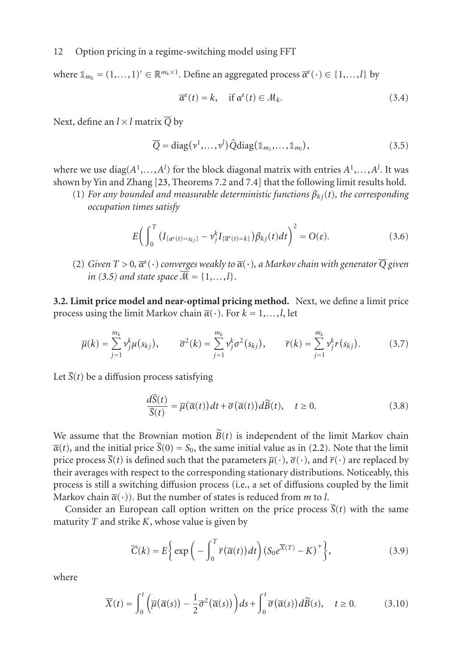where  $\mathbb{1}_{m_k} = (1, \ldots, 1)' \in \mathbb{R}^{m_k \times 1}$ . Define an aggregated process  $\overline{\alpha}^{\epsilon}(\cdot) \in \{1, \ldots, l\}$  by

<span id="page-11-2"></span><span id="page-11-0"></span>
$$
\overline{\alpha}^{\varepsilon}(t) = k, \quad \text{if } \alpha^{\varepsilon}(t) \in \mathcal{M}_k. \tag{3.4}
$$

Next, define an  $l \times l$  matrix  $\overline{Q}$  by

$$
\overline{Q} = \text{diag}(\nu^1, \dots, \nu^l) \hat{Q} \text{diag}(\mathbb{1}_{m_1}, \dots, \mathbb{1}_{m_l}),
$$
\n(3.5)

where we u[se](#page-11-0) [d](#page-11-0)iag(*A*1,*...*,*Al* ) for the block diagonal matrix with entries *A*1,*...*,*Al* . It was shown by Yin and Zhang [23, Theorems 7.2 and 7.4] that the following limit results hold.

(1) *For any bounded and measurable deterministic functions*  $\beta_{ki}(t)$ *, the corresponding occupation times satisfy*

<span id="page-11-1"></span>
$$
E\bigg(\int_0^T \big(I_{\{\alpha^{\varepsilon}(t)=s_{kj}\}}-\nu_j^k I_{\{\overline{\alpha}^{\varepsilon}(t)=k\}}\big)\beta_{kj}(t)dt\bigg)^2=O(\varepsilon). \tag{3.6}
$$

(2) *Given*  $T > 0$ ,  $\overline{\alpha}^{\varepsilon}(\cdot)$  *converges weakly to*  $\overline{\alpha}(\cdot)$ *, a Markov chain with generator*  $\overline{Q}$  *given in* (3.5) and state space  $\overline{\mathcal{M}} = \{1, \ldots, l\}.$ 

**3.2. Limit price model and near-optimal pricing method.** Next, we define a limit price process using the limit Markov chain  $\overline{\alpha}(\cdot)$ . For  $k = 1, \ldots, l$ , let

$$
\overline{\mu}(k) = \sum_{j=1}^{m_k} \nu_j^k \mu(s_{kj}), \qquad \overline{\sigma}^2(k) = \sum_{j=1}^{m_k} \nu_j^k \sigma^2(s_{kj}), \qquad \overline{r}(k) = \sum_{j=1}^{m_k} \nu_j^k r(s_{kj}). \qquad (3.7)
$$

Let  $\overline{S}(t)$  be a diffusion process satisfying

$$
\frac{d\overline{S}(t)}{\overline{S}(t)} = \overline{\mu}(\overline{\alpha}(t))dt + \overline{\sigma}(\overline{\alpha}(t))d\widetilde{B}(t), \quad t \ge 0.
$$
\n(3.8)

We assume that the Brownian motion  $\widetilde{B}(t)$  is independent of the limit Markov chain  $\overline{\alpha}(t)$ , and the initial price  $\overline{S}(0) = S_0$ , the same initial value as in (2.2). Note that the limit price process  $\overline{S}(t)$  is defined such that the parameters  $\overline{\mu}(\cdot)$ ,  $\overline{\sigma}(\cdot)$ , and  $\overline{r}(\cdot)$  are replaced by their averages with respect to the corresponding stationary distributions. Noticeably, this process is still a switching diffusion process (i.e., a set of diffusions coupled by the limit Markov chain *α*(·)). But the number of states is reduced from *m* to *l*.

Consider an European call option written on the price process  $\overline{S}(t)$  with the same maturity *T* and strike *K*, whose value is given by

$$
\overline{C}(k) = E\bigg\{\exp\bigg(-\int_0^T \overline{r}(\overline{\alpha}(t))dt\bigg)\big(S_0e^{\overline{X}(T)} - K\big)^+\bigg\},\tag{3.9}
$$

where

$$
\overline{X}(t) = \int_0^t \left( \overline{\mu}(\overline{\alpha}(s)) - \frac{1}{2}\overline{\sigma}^2(\overline{\alpha}(s)) \right) ds + \int_0^t \overline{\sigma}(\overline{\alpha}(s)) d\widetilde{B}(s), \quad t \ge 0. \tag{3.10}
$$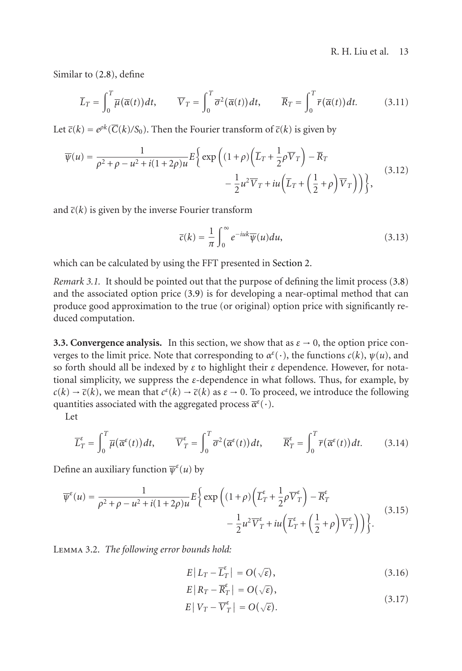Similar to (2.8), define

$$
\overline{L}_T = \int_0^T \overline{\mu}(\overline{\alpha}(t)) dt, \qquad \overline{V}_T = \int_0^T \overline{\sigma}^2(\overline{\alpha}(t)) dt, \qquad \overline{R}_T = \int_0^T \overline{r}(\overline{\alpha}(t)) dt. \tag{3.11}
$$

Let  $\overline{c}(k) = e^{\rho k}(\overline{C}(k)/S_0)$ . Then the Fourier transform of  $\overline{c}(k)$  is given by

$$
\overline{\psi}(u) = \frac{1}{\rho^2 + \rho - u^2 + i(1 + 2\rho)u} E\left\{ \exp\left( (1 + \rho) \left( \overline{L}_T + \frac{1}{2} \rho \overline{V}_T \right) - \overline{R}_T - \frac{1}{2} u^2 \overline{V}_T + i u \left( \overline{L}_T + \left( \frac{1}{2} + \rho \right) \overline{V}_T \right) \right) \right\},
$$
\n(3.12)

and  $\overline{c}(k)$  is given by the inverse Fourier transform

$$
\overline{c}(k) = \frac{1}{\pi} \int_0^\infty e^{-iuk} \overline{\psi}(u) du,
$$
\n(3.13)

which can be calculated by using the FFT presented in Section 2.

*Remark 3.1.* It should be pointed out that the purpose of defining the limit process (3.8) and the associated option price (3.9) is for developing a near-optimal method that can produce good approximation to the true (or original) option price with significantly reduced computation.

**3.3. Convergence analysis.** In this section, we show that as  $\varepsilon \to 0$ , the option price converges to the limit price. Note that corresponding to  $\alpha^{\varepsilon}(\cdot)$ , the functions  $c(k)$ ,  $\psi(u)$ , and so forth should all be indexed by *ε* to highlight their *ε* dependence. However, for notational simplicity, we suppress the *ε*-dependence in what follows. Thus, for example, by  $c(k) \rightarrow \overline{c}(k)$ , we mean that  $c^{\varepsilon}(k) \rightarrow \overline{c}(k)$  as  $\varepsilon \rightarrow 0$ . To proceed, we introduce the following quantities associated with the aggregated process *αε* (·).

Let

$$
\overline{L}_T^{\varepsilon} = \int_0^T \overline{\mu}(\overline{\alpha}^{\varepsilon}(t))dt, \qquad \overline{V}_T^{\varepsilon} = \int_0^T \overline{\sigma}^2(\overline{\alpha}^{\varepsilon}(t))dt, \qquad \overline{R}_T^{\varepsilon} = \int_0^T \overline{r}(\overline{\alpha}^{\varepsilon}(t))dt. \qquad (3.14)
$$

<span id="page-12-0"></span>Define an auxiliary function *ψ<sup>ε</sup>* (*u*) by

$$
\overline{\psi}^{\varepsilon}(u) = \frac{1}{\rho^2 + \rho - u^2 + i(1 + 2\rho)u} E \Big\{ \exp \Big( (1 + \rho) \Big( \overline{L}_T^{\varepsilon} + \frac{1}{2} \rho \overline{V}_T^{\varepsilon} \Big) - \overline{R}_T^{\varepsilon} - \frac{1}{2} u^2 \overline{V}_T^{\varepsilon} + i u \Big( \overline{L}_T^{\varepsilon} + \Big( \frac{1}{2} + \rho \Big) \overline{V}_T^{\varepsilon} \Big) \Big) \Big\}. \tag{3.15}
$$

Lemma 3.2. *The following error bounds hold:*

$$
E|L_T - \overline{L}_T^{\varepsilon}| = O(\sqrt{\varepsilon}), \qquad (3.16)
$$

$$
E|R_T - \overline{R}_T^{\varepsilon}| = O(\sqrt{\varepsilon}),
$$
  
\n
$$
E|V_T - \overline{V}_T^{\varepsilon}| = O(\sqrt{\varepsilon}).
$$
\n(3.17)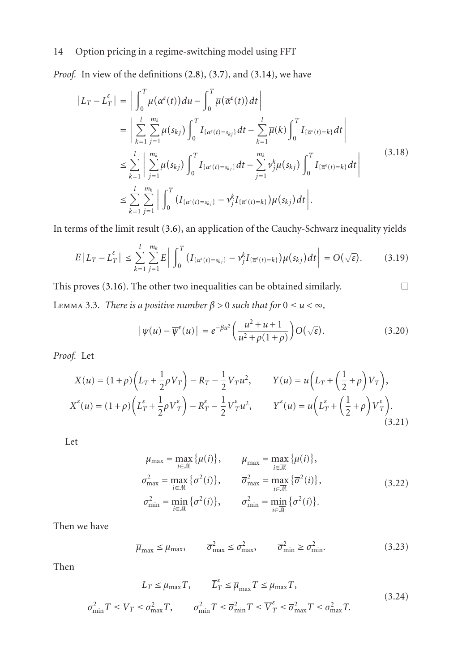*Proof.* In view of the definitions (2.8), (3.7), and (3.14), we have

$$
\begin{split}\n|L_{T} - \overline{L}_{T}^{\varepsilon}| &= \Big| \int_{0}^{T} \mu(\alpha^{\varepsilon}(t)) du - \int_{0}^{T} \overline{\mu}(\overline{\alpha}^{\varepsilon}(t)) dt \Big| \\
&= \Big| \sum_{k=1}^{I} \sum_{j=1}^{m_{k}} \mu(s_{kj}) \int_{0}^{T} I_{\{\alpha^{\varepsilon}(t) = s_{kj}\}} dt - \sum_{k=1}^{I} \overline{\mu}(k) \int_{0}^{T} I_{\{\overline{\alpha}^{\varepsilon}(t) = k\}} dt \Big| \\
&\leq \sum_{k=1}^{I} \Big| \sum_{j=1}^{m_{k}} \mu(s_{kj}) \int_{0}^{T} I_{\{\alpha^{\varepsilon}(t) = s_{kj}\}} dt - \sum_{j=1}^{m_{k}} \nu_{j}^{k} \mu(s_{kj}) \int_{0}^{T} I_{\{\overline{\alpha}^{\varepsilon}(t) = k\}} dt \Big| \\
&\leq \sum_{k=1}^{I} \sum_{j=1}^{m_{k}} \Big| \int_{0}^{T} (I_{\{\alpha^{\varepsilon}(t) = s_{kj}\}} - \nu_{j}^{k} I_{\{\overline{\alpha}^{\varepsilon}(t) = k\}}) \mu(s_{kj}) dt \Big|.\n\end{split} \tag{3.18}
$$

In terms of the limit result (3.6), an application of the Cauchy-Schwarz inequality yields

$$
E|L_T - \overline{L}_T^{\varepsilon}| \leq \sum_{k=1}^l \sum_{j=1}^{m_k} E\left|\int_0^T \left(I_{\{\alpha^{\varepsilon}(t) = s_{kj}\}} - \nu_j^k I_{\{\overline{\alpha}^{\varepsilon}(t) = k\}}\right) \mu(s_{kj}) dt\right| = O(\sqrt{\varepsilon}). \tag{3.19}
$$

This proves (3.16). The other two inequalities can be obtained similarly. *LEMMA* 3.3. *There is a positive number*  $β > 0$  *such that for*  $0 ≤ u < ∞$ *,* 

$$
|\psi(u) - \overline{\psi}^{\varepsilon}(u)| = e^{-\beta u^2} \left( \frac{u^2 + u + 1}{u^2 + \rho(1 + \rho)} \right) O(\sqrt{\varepsilon}).
$$
\n(3.20)

<span id="page-13-0"></span> $\hfill \square$ 

*Proof.* Let

$$
X(u) = (1+\rho)\left(L_T + \frac{1}{2}\rho V_T\right) - R_T - \frac{1}{2}V_T u^2, \qquad Y(u) = u\left(L_T + \left(\frac{1}{2} + \rho\right)V_T\right),
$$
  

$$
\overline{X}^{\varepsilon}(u) = (1+\rho)\left(\overline{L}_T^{\varepsilon} + \frac{1}{2}\rho \overline{V}_T^{\varepsilon}\right) - \overline{R}_T^{\varepsilon} - \frac{1}{2}\overline{V}_T^{\varepsilon}u^2, \qquad \overline{Y}^{\varepsilon}(u) = u\left(\overline{L}_T^{\varepsilon} + \left(\frac{1}{2} + \rho\right)\overline{V}_T^{\varepsilon}\right).
$$
\n(3.21)

Let

$$
\mu_{\max} = \max_{i \in \mathcal{M}} {\{\mu(i)\}}, \qquad \overline{\mu}_{\max} = \max_{i \in \overline{\mathcal{M}}} {\{\overline{\mu}(i)\}},
$$
  
\n
$$
\sigma_{\max}^2 = \max_{i \in \mathcal{M}} {\{\sigma^2(i)\}}, \qquad \overline{\sigma}_{\max}^2 = \max_{i \in \overline{\mathcal{M}}} {\{\overline{\sigma}^2(i)\}},
$$
  
\n
$$
\sigma_{\min}^2 = \min_{i \in \mathcal{M}} {\{\sigma^2(i)\}}, \qquad \overline{\sigma}_{\min}^2 = \min_{i \in \overline{\mathcal{M}}} {\{\overline{\sigma}^2(i)\}}.
$$
\n(3.22)

Then we have

$$
\overline{\mu}_{\text{max}} \le \mu_{\text{max}}, \qquad \overline{\sigma}_{\text{max}}^2 \le \sigma_{\text{max}}^2, \qquad \overline{\sigma}_{\text{min}}^2 \ge \sigma_{\text{min}}^2. \tag{3.23}
$$

Then

$$
L_T \le \mu_{\text{max}} T, \qquad \overline{L}_T^{\varepsilon} \le \overline{\mu}_{\text{max}} T \le \mu_{\text{max}} T,
$$
  

$$
\sigma_{\text{min}}^2 T \le V_T \le \sigma_{\text{max}}^2 T, \qquad \sigma_{\text{min}}^2 T \le \overline{\sigma}_{\text{min}}^2 T \le \overline{V}_T^{\varepsilon} \le \overline{\sigma}_{\text{max}}^2 T \le \sigma_{\text{max}}^2 T.
$$
  
(3.24)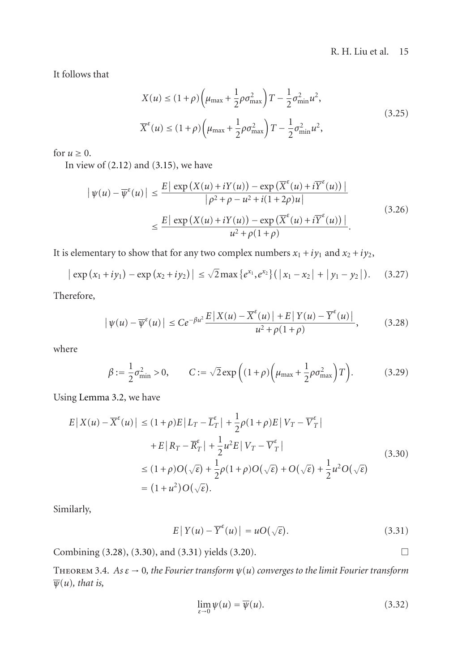It follows that

$$
X(u) \le (1+\rho) \left(\mu_{\max} + \frac{1}{2}\rho \sigma_{\max}^2\right) T - \frac{1}{2}\sigma_{\min}^2 u^2,
$$
  

$$
\overline{X}^{\epsilon}(u) \le (1+\rho) \left(\mu_{\max} + \frac{1}{2}\rho \sigma_{\max}^2\right) T - \frac{1}{2}\sigma_{\min}^2 u^2,
$$
 (3.25)

for  $u \geq 0$ .

In view of  $(2.12)$  and  $(3.15)$ , we have

$$
\left|\psi(u) - \overline{\psi}^{\varepsilon}(u)\right| \leq \frac{E\left|\exp\left(X(u) + iY(u)\right) - \exp\left(\overline{X}^{\varepsilon}(u) + i\overline{Y}^{\varepsilon}(u)\right)\right|}{\left|\rho^{2} + \rho - u^{2} + i(1 + 2\rho)u\right|}
$$
\n
$$
\leq \frac{E\left|\exp\left(X(u) + iY(u)\right) - \exp\left(\overline{X}^{\varepsilon}(u) + i\overline{Y}^{\varepsilon}(u)\right)\right|}{u^{2} + \rho(1 + \rho)}.
$$
\n(3.26)

It is elementary to show that for any two complex numbers  $x_1 + iy_1$  and  $x_2 + iy_2$ ,

$$
|\exp(x_1 + iy_1) - \exp(x_2 + iy_2)| \le \sqrt{2} \max \{e^{x_1}, e^{x_2}\} (|x_1 - x_2| + |y_1 - y_2|).
$$
 (3.27)

There[fore,](#page-12-0)

<span id="page-14-0"></span>
$$
\left|\psi(u)-\overline{\psi}^{\varepsilon}(u)\right|\leq Ce^{-\beta u^2}\frac{E\left|X(u)-\overline{X}^{\varepsilon}(u)\right|+E\left|Y(u)-\overline{Y}^{\varepsilon}(u)\right|}{u^2+\rho(1+\rho)},\tag{3.28}
$$

where

$$
\beta := \frac{1}{2}\sigma_{\min}^2 > 0, \qquad C := \sqrt{2} \exp\left( (1+\rho) \left( \mu_{\max} + \frac{1}{2} \rho \sigma_{\max}^2 \right) T \right). \tag{3.29}
$$

Using Lemma 3.2, we have

$$
E|X(u) - \overline{X}^{\varepsilon}(u)| \le (1+\rho)E|L_{T} - \overline{L}_{T}^{\varepsilon}| + \frac{1}{2}\rho(1+\rho)E|V_{T} - \overline{V}_{T}^{\varepsilon}|
$$
  
+ 
$$
E|R_{T} - \overline{R}_{T}^{\varepsilon}| + \frac{1}{2}u^{2}E|V_{T} - \overline{V}_{T}^{\varepsilon}|
$$
  

$$
\le (1+\rho)O(\sqrt{\varepsilon}) + \frac{1}{2}\rho(1+\rho)O(\sqrt{\varepsilon}) + O(\sqrt{\varepsilon}) + \frac{1}{2}u^{2}O(\sqrt{\varepsilon})
$$
  

$$
= (1+u^{2})O(\sqrt{\varepsilon}).
$$
 (3.30)

Similarly,

$$
E|Y(u) - \overline{Y}^{\varepsilon}(u)| = uO(\sqrt{\varepsilon}).
$$
\n(3.31)

Combining (3.28), (3.30), and (3.31) yields (3.20). -

Theorem 3.4. *Asε* → 0*, the Fourier transform ψ*(*u*) *converges to the limit Fourier transform*  $\overline{\psi}(u)$ *, that is,* 

$$
\lim_{\varepsilon \to 0} \psi(u) = \overline{\psi}(u). \tag{3.32}
$$

<span id="page-14-1"></span> $\Box$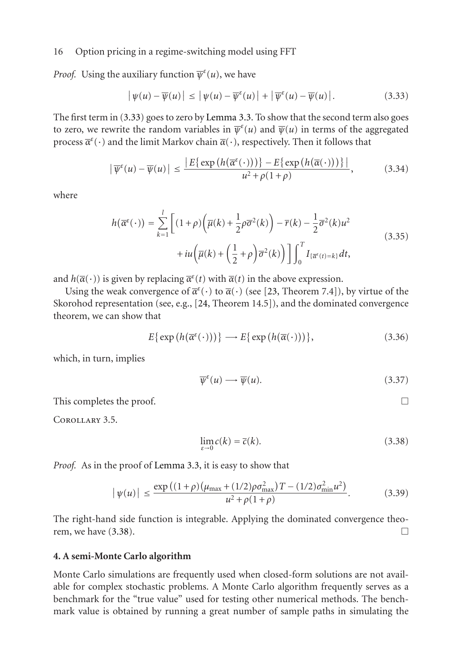*Proof.* Using the auxiliary function  $\overline{\psi}^{\varepsilon}(u)$ , we have

$$
\left|\psi(u)-\overline{\psi}(u)\right| \leq \left|\psi(u)-\overline{\psi}^{\varepsilon}(u)\right| + \left|\overline{\psi}^{\varepsilon}(u)-\overline{\psi}(u)\right|.
$$
 (3.33)

The first term in (3.33) goes to zero by Lemma 3.3. To show that the second term also goes to zero, we rewrite the random variables in  $\overline{\psi}^{\epsilon}(u)$  and  $\overline{\psi}(u)$  in terms of the aggregated process *αε* (·) and the limit Markov chain *α*(·), respectively. Then it follows that

$$
\left|\overline{\psi}^{\varepsilon}(u)-\overline{\psi}(u)\right|\leq \frac{\left|E\{\exp\left(h(\overline{\alpha}^{\varepsilon}(\cdot))\right)\}-E\{\exp\left(h(\overline{\alpha}(\cdot))\right)\}\right|}{u^2+\rho(1+\rho)},\tag{3.34}
$$

where

$$
h(\overline{\alpha}^{\varepsilon}(\cdot)) = \sum_{k=1}^{l} \left[ (1+\rho) \left( \overline{\mu}(k) + \frac{1}{2}\rho \overline{\sigma}^{2}(k) \right) - \overline{r}(k) - \frac{1}{2}\overline{\sigma}^{2}(k)u^{2} \right. \right. \tag{3.35}
$$

$$
+ iu \left( \overline{\mu}(k) + \left( \frac{1}{2} + \rho \right) \overline{\sigma}^{2}(k) \right) \left] \int_{0}^{T} I_{\{\overline{\alpha}^{\varepsilon}(t) = k\}} dt,
$$

and  $h(\overline{\alpha}(\cdot))$  is given by replacing  $\overline{\alpha}^{\epsilon}(t)$  with  $\overline{\alpha}(t)$  in the above expression.

Using the weak convergence of  $\overline{\alpha}^{\epsilon}(\cdot)$  to  $\overline{\alpha}(\cdot)$  (see [23, Theorem 7.4]), by virtue of the Skorohod representation (see, e.g., [24, Theorem 14.5]), and the dominated convergence theorem, we can show that

$$
E\{\exp\left(h(\overline{\alpha}^{\varepsilon}(\cdot))\right)\} \longrightarrow E\{\exp\left(h(\overline{\alpha}(\cdot))\right)\},\tag{3.36}
$$

which, in turn, implies

$$
\overline{\psi}^{\varepsilon}(u) \longrightarrow \overline{\psi}(u). \tag{3.37}
$$

<span id="page-15-1"></span> $\Box$ 

This completes the proof.

<span id="page-15-0"></span>Corollary 3.[5.](#page-15-1)

$$
\lim_{\varepsilon \to 0} c(k) = \overline{c}(k). \tag{3.38}
$$

*Proof.* As in the proof of Lemma 3.3, it is easy to show that

$$
|\psi(u)| \le \frac{\exp\left((1+\rho)\left(\mu_{\max} + (1/2)\rho \sigma_{\max}^2\right)T - (1/2)\sigma_{\min}^2 u^2\right)}{u^2 + \rho(1+\rho)}.\tag{3.39}
$$

The right-hand side function is integrable. Applying the dominated convergence theorem, we have  $(3.38)$ .  $\Box$ 

#### **4. A semi-Monte Carlo algorithm**

Monte Carlo simulations are frequently used when closed-form solutions are not available for complex stochastic problems. A Monte Carlo algorithm frequently serves as a benchmark for the "true value" used for testing other numerical methods. The benchmark value is obtained by running a great number of sample paths in simulating the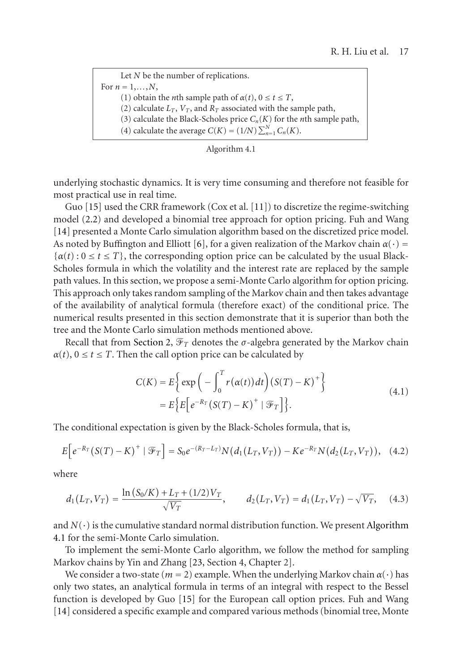Let *N* be the number of replications. For  $n = 1, \ldots, N$ , (1) obtain the *n*th sample path of  $\alpha(t)$ ,  $0 \le t \le T$ , (2) calculate  $L_T$ ,  $V_T$ , and  $R_T$  associated with the sample path, (3) calculate the Black-Scholes price  $C_n(K)$  for the *n*th sample path, (4) calculate the aver[ag](#page-20-7)e  $C(K) = (1/N) \sum_{n=1}^{N} C_n(K)$ .

<span id="page-16-0"></span>Algorithm 4.1

underlying stochastic dynamics. It is very time consuming and therefore not feasible for most practical use in real time.

Guo [15] used the CRR framework (Cox et al. [11]) to discretize the regime-switching model (2.2) and developed a binomial tree approach for option pricing. Fuh and Wang [14] presented a M[onte Carlo](#page-3-0) simulation algorithm based on the discretized price model. As noted by Buffington and Elliott [6], for a given realization of the Markov chain  $\alpha(\cdot)$  =  $\{\alpha(t): 0 \le t \le T\}$ , the corresponding option price can be calculated by the usual Black-Scholes formula in which the volatility and the interest rate are replaced by the sample path values. In this section, we propose a semi-Monte Carlo algorithm for option pricing. This approach only takes random sampling of the Markov chain and then takes advantage of the availability of analytical formula (therefore exact) of the conditional price. The numerical results presented in this section demonstrate that it is superior than both the tree and the Monte Carlo simulation methods mentioned above.

Recall that from Section 2,  $\mathcal{F}_T$  denotes the  $\sigma$ -algebra generated by the Markov chain  $\alpha(t)$ ,  $0 \le t \le T$ . Then the call option price can be calculated by

$$
C(K) = E\left\{\exp\left(-\int_0^T r(\alpha(t))dt\right) (S(T) - K)^+\right\}
$$
  
= 
$$
E\left\{E\left[e^{-R_T}(S(T) - K)^+ | \mathcal{F}_T|\right]\right\}.
$$
 (4.1)

[The](#page-16-0) conditional expectation is given by the Black-Scholes formula, that is,

$$
E\Big[e^{-R_T}\big(S(T)-K\big)^+\mid \mathcal{F}_T\Big]=S_0e^{-(R_T-L_T)}N\big(d_1\big(L_T,V_T\big)\big)-Ke^{-R_T}N\big(d_2\big(L_T,V_T\big)\big),\quad (4.2)
$$

where

$$
d_1(L_T, V_T) = \frac{\ln (S_0/K) + L_T + (1/2)V_T}{\sqrt{V_T}}, \qquad d_2(L_T, V_T) = d_1(L_T, V_T) - \sqrt{V_T}, \quad (4.3)
$$

and  $N(\cdot)$  is the cumulative standard normal distribution function. We present Algorithm 4.1 for the semi-Monte Carlo simulation.

To implement the semi-Monte Carlo algorithm, we follow the method for sampling Markov chains by Yin and Zhang [23, Section 4, Chapter 2].

We consider a two-state (*m* = 2) example. When the underlying Markov chain *α*(·) has only two states, an analytical formula in terms of an integral with respect to the Bessel function is developed by Guo [15] for the European call option prices. Fuh and Wang [14] considered a specific example and compared various methods (binomial tree, Monte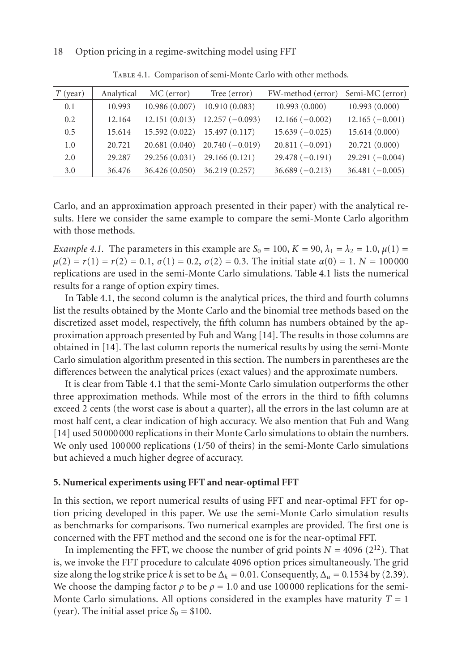<span id="page-17-2"></span>*T* (year) Analytical MC (error) Tree (error) FW-method (error) Semi-MC (error) 0*.*1 10*.*993 10.986 (0.007) 10.910 (0.083) 10.993 (0.000) 10.993 (0.000) 0.2 12.164 12.151 (0.013) 12.257 (−0*.*093) 12.166 (−0*.*002) 12.165 (−0*.*001) 0.5 15.614 15.592 (0.022) 15.497 (0.117) 15.639 (−0*.*025) 15.614 (0.000) 1.0 20.721 20.681 (0.040) 20.740 (−0*.*019) 20.811 (−0*.*091) 20.721 (0.000) 2.0 29.287 29.256 (0.031) 29.166 (0.121) 29.478 (−0*.*[191\)](#page-17-1) 29.291 (−0*.*004) 3.0 36.476 36.426 (0.050) 36.219 (0.257) 36.689 (−0*.*213) 36.481 (−0*.*005)

<span id="page-17-1"></span>TABLE 4.1. Comparison of semi-Monte Carlo with other methods.

Carlo, and an approximation approach presented in their paper) with the analytical results. Here we consider the same example to comp[are](#page-20-12) the semi-Monte Carlo algorithm with those [meth](#page-20-12)ods.

*Example 4.1.* The parameters in this example are  $S_0 = 100$ ,  $K = 90$ ,  $\lambda_1 = \lambda_2 = 1.0$ ,  $\mu(1) =$  $\mu(2) = r(1) = r(2) = 0.1$ ,  $\sigma(1) = 0.2$ ,  $\sigma(2) = 0.3$ . The initial state  $\alpha(0) = 1$ .  $N = 100000$ replications are u[sed in the](#page-17-1) semi-Monte Carlo simulations. Table 4.1 lists the numerical results for a range of option expiry times.

In Table 4.1, the second column is the analytical prices, the third and fourth columns list the results obtained by the Monte Carlo and the binomial tree methods based on the [disc](#page-20-12)retized asset model, respectively, the fifth column has numbers obtained by the approximation approach presented by Fuh and Wang [14]. The results in those columns are obtained in [14]. The last column reports the numerical results by using the semi-Monte Carlo simulation algorithm presented in this section. The numbers in parentheses are the differences between the analytical prices (exact values) and the approximate numbers.

<span id="page-17-0"></span>It is clear from Table 4.1 that the semi-Monte Carlo simulation outperforms the other three approximation methods. While most of the errors in the third to fifth columns exceed 2 cents (the worst case is about a quarter), all the errors in the last column are at most half cent, a clear indication of high accuracy. We also mention that Fuh and Wang [14] used 50000000 replications in their Monte Carlo simulations to obtain the numbers. We only used 100000 replications (1*/*50 of theirs) in the semi-Monte Carlo simulations but achieved a much higher degree of accuracy.

#### **5. Numerical experiments using FFT and near-optimal FFT**

In this section, we report numerical results of using FFT and near-optimal FFT for option pricing developed in this paper. We use the semi-Monte Carlo simulation results as benchmarks for comparisons. Two numerical examples are provided. The first one is concerned with the FFT method and the second one is for the near-optimal FFT.

In implementing the FFT, we choose the number of grid points  $N = 4096 \ (2^{12})$ . That is, we invoke the FFT procedure to calculate 4096 option prices simultaneously. The grid size along the log strike price *k* is set to be  $\Delta_k = 0.01$ . Consequently,  $\Delta_u = 0.1534$  by (2.39). We choose the damping factor  $\rho$  to be  $\rho = 1.0$  and use 100000 replications for the semi-Monte Carlo simulations. All options considered in the examples have maturity  $T = 1$ (year). The initial asset price  $S_0 = $100$ .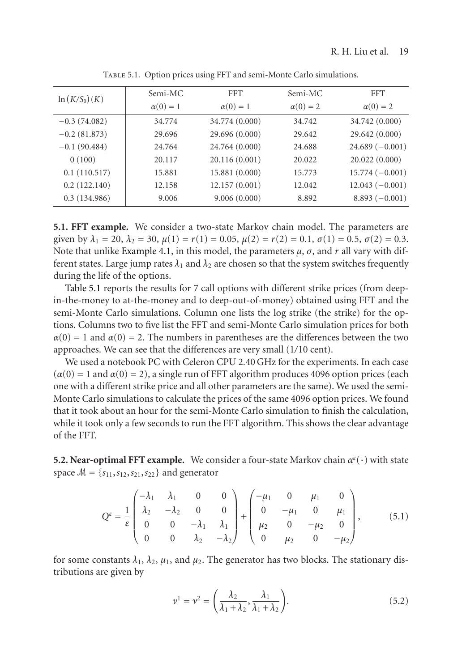| $\ln(K/S_0)(K)$ | Semi-MC<br>$\alpha(0)=1$ | <b>FFT</b><br>$\alpha(0)=1$ | Semi-MC<br>$\alpha(0)=2$ | <b>FFT</b><br>$\alpha(0)=2$ |
|-----------------|--------------------------|-----------------------------|--------------------------|-----------------------------|
| $-0.3(74.082)$  | 34.774                   | 34.774 (0.000)              | 34.742                   | 34.742 (0.000)              |
| $-0.2$ (81.873) | 29.696                   | 29.696 (0.000)              | 29.642                   | 29.642 (0.000)              |
| $-0.1(90.484)$  | 24.764                   | 24.764 (0.000)              | 24.688                   | $24.689(-0.001)$            |
| 0(100)          | 20.117                   | 20.116(0.001)               | 20.022                   | 20.022(0.000)               |
| 0.1(110.517)    | 15.881                   | 15.881 (0.000)              | 15.773                   | $15.774(-0.001)$            |
| 0.2(122.140)    | 12.158                   | 12.157(0.001)               | 12.042                   | $12.043(-0.001)$            |
| 0.3(134.986)    | 9.006                    | 9.006(0.000)                | 8.892                    | $8.893(-0.001)$             |

<span id="page-18-0"></span>Table 5.1. Option prices using FFT and semi-Monte Carlo simulations.

**5.1. FFT example.** We consider a two-state Markov chain model. The parameters are given by  $\lambda_1 = 20$ ,  $\lambda_2 = 30$ ,  $\mu(1) = r(1) = 0.05$ ,  $\mu(2) = r(2) = 0.1$ ,  $\sigma(1) = 0.5$ ,  $\sigma(2) = 0.3$ . Note that unlike Example 4.1, in this model, the parameters *μ*, *σ*, and *r* all vary with different states. Large jump rates  $\lambda_1$  and  $\lambda_2$  are chosen so that the system switches frequently during the life of the options.

Table 5.1 reports the results for 7 call options with different strike prices (from deepin-the-money to at-the-money and to deep-out-of-money) obtained using FFT and the semi-Monte Carlo simulations. Column one lists the log strike (the strike) for the options. Columns two to five list the FFT and semi-Monte Carlo simulation prices for both  $\alpha(0) = 1$  and  $\alpha(0) = 2$ . The numbers in parentheses are the differences between the two approaches. We can see that the differences are very small (1*/*10 cent).

We used a notebook PC with Celeron CPU 2*.*40 GHz for the experiments. In each case  $(\alpha(0) = 1$  and  $\alpha(0) = 2$ ), a single run of FFT algorithm produces 4096 option prices (each one with a different strike price and all other parameters are the same). We used the semi-Monte Carlo simulations to calculate the prices of the same 4096 option prices. We found that it took about an hour for the semi-Monte Carlo simulation to finish the calculation, while it took only a few seconds to run the FFT algorithm. This shows the clear advantage of the FFT.

**5.2. Near-optimal FFT example.** We consider a four-state Markov chain *αε* (·) with state space  $M = \{s_{11}, s_{12}, s_{21}, s_{22}\}$  and generator

$$
Q^{\varepsilon} = \frac{1}{\varepsilon} \begin{pmatrix} -\lambda_1 & \lambda_1 & 0 & 0 \\ \lambda_2 & -\lambda_2 & 0 & 0 \\ 0 & 0 & -\lambda_1 & \lambda_1 \\ 0 & 0 & \lambda_2 & -\lambda_2 \end{pmatrix} + \begin{pmatrix} -\mu_1 & 0 & \mu_1 & 0 \\ 0 & -\mu_1 & 0 & \mu_1 \\ \mu_2 & 0 & -\mu_2 & 0 \\ 0 & \mu_2 & 0 & -\mu_2 \end{pmatrix}, \quad (5.1)
$$

for some constants  $\lambda_1$ ,  $\lambda_2$ ,  $\mu_1$ , and  $\mu_2$ . The generator has two blocks. The stationary distributions are given by

$$
\nu^1 = \nu^2 = \left(\frac{\lambda_2}{\lambda_1 + \lambda_2}, \frac{\lambda_1}{\lambda_1 + \lambda_2}\right). \tag{5.2}
$$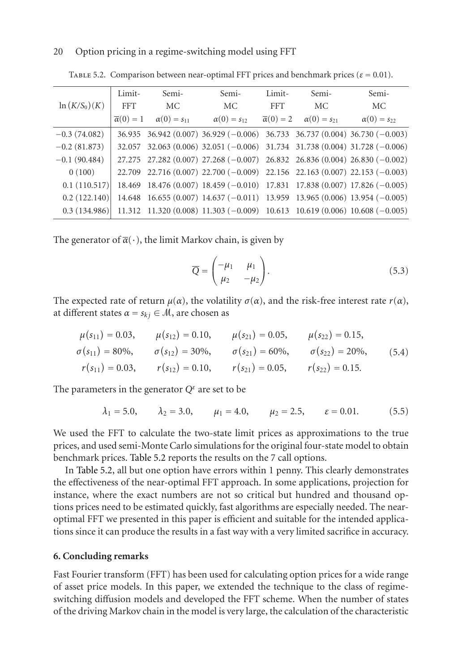| $\ln(K/S_0)(K)$ | Limit-                     | Semi-                | Semi-                | Limit-                     | Semi-                | Semi-                                                                                           |
|-----------------|----------------------------|----------------------|----------------------|----------------------------|----------------------|-------------------------------------------------------------------------------------------------|
|                 | <b>FFT</b>                 | MC.                  | MC.                  | <b>FFT</b>                 | МC                   | МC                                                                                              |
|                 | $\overline{\alpha}(0) = 1$ | $\alpha(0) = s_{11}$ | $\alpha(0) = s_{12}$ | $\overline{\alpha}(0) = 2$ | $\alpha(0) = s_{21}$ | $\alpha(0) = s_{22}$                                                                            |
| $-0.3(74.082)$  |                            |                      |                      |                            |                      | $36.935$ $36.942$ (0.007) $36.929$ (-0.006) $36.733$ $36.737$ (0.004) $36.730$ (-0.003)         |
| $-0.2(81.873)$  |                            |                      |                      |                            |                      | 32.057 32.063 (0.006) 32.051 ( $-0.006$ ) 31.734 31.738 (0.004) 31.728 ( $-0.006$ )             |
| $-0.1(90.484)$  |                            |                      |                      |                            |                      | 27.275 27.282 (0.007) 27.268 (-0.007) 26.832 26.836 (0.004) 26.830 (-0.002)                     |
| 0(100)          |                            |                      |                      |                            |                      | $22.709$ $22.716$ $(0.007)$ $22.700$ $(-0.009)$ $22.156$ $22.163$ $(0.007)$ $22.153$ $(-0.003)$ |
| 0.1(110.517)    |                            |                      |                      |                            |                      | $18.469$ $18.476$ (0.007) $18.459$ (-0.010) $17.831$ $17.838$ (0.007) $17.826$ (-0.005)         |
| 0.2(122.140)    |                            |                      |                      |                            |                      | 14.648 16.655 (0.007) 14.637 (-0.011) 13.959 13.965 (0.006) 13.954 (-0.005)                     |
| 0.3(134.986)    |                            |                      |                      |                            |                      | $11.312$ $11.320$ (0.008) $11.303$ (-0.009) $10.613$ $10.619$ (0.006) $10.608$ (-0.005)         |
|                 |                            |                      |                      |                            |                      |                                                                                                 |

<span id="page-19-1"></span>TABLE 5.2. Comparison between near-optimal FFT prices and benchmark prices ( $\varepsilon = 0.01$ ).

The generator of  $\overline{\alpha}(\cdot)$ , the limit Markov chain, is given by

$$
\overline{Q} = \begin{pmatrix} -\mu_1 & \mu_1 \\ \mu_2 & -\mu_2 \end{pmatrix} . \tag{5.3}
$$

The expected rate of return  $\mu(\alpha)$ , the volatility  $\sigma(\alpha)$ , and the risk-free interest rate  $r(\alpha)$ , at different states  $\alpha = s_{kj} \in \mathcal{M}$ , are chosen as

| $\mu(s_{11}) = 0.03,$ $\mu(s_{12}) = 0.10,$ $\mu(s_{21}) = 0.05,$ $\mu(s_{22}) = 0.15,$ |                                                                                                                             |  |
|-----------------------------------------------------------------------------------------|-----------------------------------------------------------------------------------------------------------------------------|--|
|                                                                                         | $\sigma(s_{11}) = 80\%, \quad \sigma(s_{12}) = 30\%, \quad \sigma(s_{21}) = 60\%, \quad \sigma(s_{22}) = 20\%, \quad (5.4)$ |  |
| $r(s_{11}) = 0.03$ , $r(s_{12}) = 0.10$ , $r(s_{21}) = 0.05$ , $r(s_{22}) = 0.15$ .     |                                                                                                                             |  |

The parameters in the generator  $Q^{\varepsilon}$  are set to be

$$
\lambda_1 = 5.0,
$$
  $\lambda_2 = 3.0,$   $\mu_1 = 4.0,$   $\mu_2 = 2.5,$   $\varepsilon = 0.01.$  (5.5)

<span id="page-19-0"></span>We used the FFT to calculate the two-state limit prices as approximations to the true prices, and used semi-Monte Carlo simulations for the original four-state model to obtain benchmark prices. Table 5.2 reports the results on the 7 call options.

In Table 5.2, all but one option have errors within 1 penny. This clearly demonstrates the effectiveness of the near-optimal FFT approach. In some applications, projection for instance, where the exact numbers are not so critical but hundred and thousand options prices need to be estimated quickly, fast algorithms are especially needed. The nearoptimal FFT we presented in this paper is efficient and suitable for the intended applications since it can produce the results in a fast way with a very limited sacrifice in accuracy.

#### **6. Concluding remarks**

Fast Fourier transform (FFT) has been used for calculating option prices for a wide range of asset price models. In this paper, we extended the technique to the class of regimeswitching diffusion models and developed the FFT scheme. When the number of states of the driving Markov chain in the model is very large, the calculation of the characteristic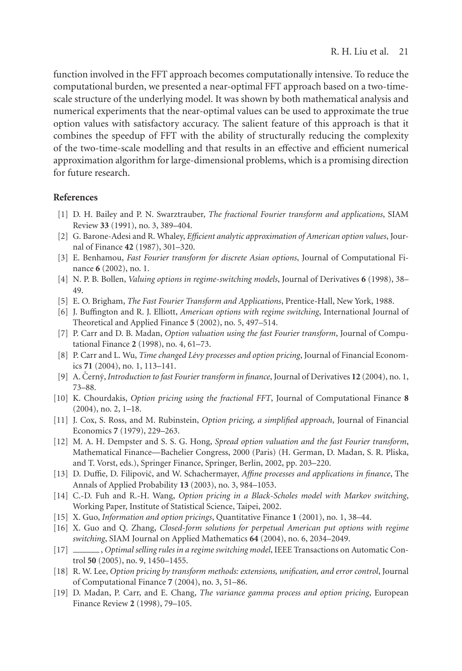function involved in the FFT approach becomes computationally intensive. To reduce the computational burden, we presented a near-optimal FFT approach based on a two-timescale structure of the underlying model. It was shown by both mathematical analysis and numerical experiments that the near-optimal values can be used to approximate the true option values with satisfactory accuracy. The salient feature of this approach is that it combines the speedup of FFT with the ability of structurally reducing the complexity of the two-time-scale modelling and that results in an effective and efficient numerical approximation algorithm for large-dimensional problems, which is a promising direction for future research.

## <span id="page-20-6"></span>**References**

- [1] D. H. Bailey and P. N. Swarztrauber, *The fractional Fourier transform and applications*, SIAM Review **33** (1991), no. 3, 389–404.
- <span id="page-20-8"></span>[2] G. Barone-Adesi and R. Whaley, *Efficient analytic approximation of American option values*, Journal of Finance **42** (1987), 301–320.
- <span id="page-20-4"></span>[3] E. Benhamou, *Fast Fourier transform for discrete Asian options*, Journal of Computational Finance **6** (2002), no. 1.
- <span id="page-20-9"></span>[4] N. P. B. Bollen, *Valuing options in regime-switching models*, Journal of Derivatives **6** (1998), 38– 49.
- <span id="page-20-0"></span>[5] E. O. Brigham, *The Fast Fourier Transform and Applications*, Prentice-Hall, New York, 1988.
- <span id="page-20-7"></span>[6] J. Buffington and R. J. Elliott, *American options with regime switching*, International Journal of Theoretical and Applied Finance **5** (2002), no. 5, 497–514.
- <span id="page-20-1"></span>[7] P. Carr and D. B. Madan, *Option valuation using the fast Fourier transform*, Journal of Computational Finance **2** (1998), no. 4, 61–73.
- [8] P. Carr and L. Wu, *Time changed L´evy processes and option pricing*, Journal of Financial Economics **71** (2004), no. 1, 113–141.
- [9] A. Cerný, *Introduction to fast Fourier transform in finance*, Journal of Derivatives **12** (2004), no. 1, 73–88.
- <span id="page-20-3"></span>[10] K. Chourdakis, *Option pricing using the fractional FFT*, Journal of Computational Finance **8** (2004), no. 2, 1–18.
- <span id="page-20-14"></span>[11] J. Cox, S. Ross, and M. Rubinstein, *Option pricing, a simplified approach*, Journal of Financial Economics **7** (1979), 229–263.
- <span id="page-20-5"></span>[12] M. A. H. Dempster and S. S. G. Hong, *Spread option valuation and the fast Fourier transform*, Mathematical Finance—Bachelier Congress, 2000 (Paris) (H. German, D. Madan, S. R. Pliska, and T. Vorst, eds.), Springer Finance, Springer, Berlin, 2002, pp. 203–220.
- [13] D. Duffie, D. Filipovic, and W. Schachermayer, ´ *Affine processes and applications in finance*, The Annals of Applied Probability **13** (2003), no. 3, 984–1053.
- <span id="page-20-12"></span>[14] C.-D. Fuh and R.-H. Wang, *Option pricing in a Black-Scholes model with Markov switching*, Working Paper, Institute of Statistical Science, Taipei, 2002.
- <span id="page-20-10"></span>[15] X. Guo, *Information and option pricings*, Quantitative Finance **1** (2001), no. 1, 38–44.
- <span id="page-20-11"></span>[16] X. Guo and Q. Zhang, *Closed-form solutions for perpetual American put options with regime switching*, SIAM Journal on Applied Mathematics **64** (2004), no. 6, 2034–2049.
- <span id="page-20-13"></span>[17] , *Optimal selling rules in a regime switching model*, IEEE Transactions on Automatic Control **50** (2005), no. 9, 1450–1455.
- [18] R. W. Lee, *Option pricing by transform methods: extensions, unification, and error control*, Journal of Computational Finance **7** (2004), no. 3, 51–86.
- <span id="page-20-2"></span>[19] D. Madan, P. Carr, and E. Chang, *The variance gamma process and option pricing*, European Finance Review **2** (1998), 79–105.